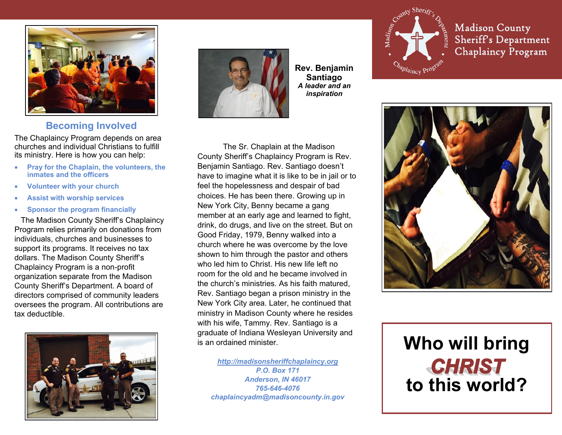

## **Becoming Involved**

The Chaplaincy Program depends on area churches and individual Christians to fulfill its ministry. Here is how you can help:

- **Pray for the Chaplain, the volunteers, the inmates and the officers**
- **Volunteer with your church**
- **Assist with worship services**
- **Sponsor the program financially**

The Madison County Sheriff's Chaplaincy Program relies primarily on donations from individuals, churches and businesses to support its programs. It receives no tax dollars. The Madison County Sheriff's Chaplaincy Program is a non-profit organization separate from the Madison County Sheriff's Department. A board of directors comprised of community leaders oversees the program. All contributions are tax deductible.





**Rev. Benjamin Santiago** *A leader and an inspiration*

The Sr. Chaplain at the Madison County Sheriff's Chaplaincy Program is Rev. Benjamin Santiago. Rev. Santiago doesn't have to imagine what it is like to be in jail or to feel the hopelessness and despair of bad choices. He has been there. Growing up in New York City, Benny became a gang member at an early age and learned to fight, drink, do drugs, and live on the street. But on Good Friday, 1979, Benny walked into a church where he was overcome by the love shown to him through the pastor and others who led him to Christ. His new life left no room for the old and he became involved in the church's ministries. As his faith matured, Rev. Santiago began a prison ministry in the New York City area. Later, he continued that ministry in Madison County where he resides with his wife, Tammy. Rev. Santiago is a graduate of Indiana Wesleyan University and is an ordained minister.

*<http://madisonsheriffchaplaincy.org> P.O. Box 171 Anderson, IN 46017 765-646-4076 chaplaincyadm@madisoncounty.in.gov*



**Madison County Sheriff's Department Chaplaincy Program** 



# **Who will bring** *CHRIST* **to this world?**